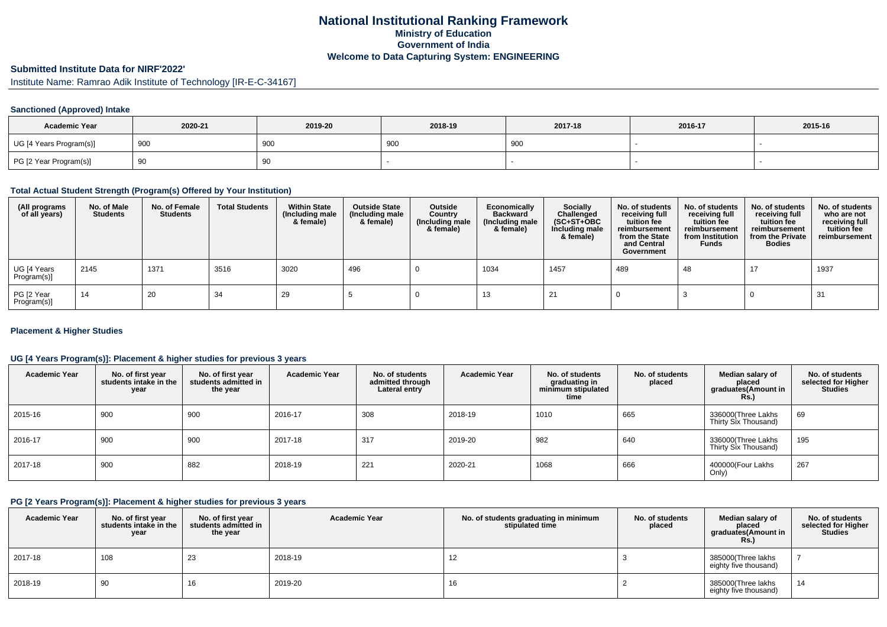## **National Institutional Ranking FrameworkMinistry of Education Government of IndiaWelcome to Data Capturing System: ENGINEERING**

# **Submitted Institute Data for NIRF'2022'**

Institute Name: Ramrao Adik Institute of Technology [IR-E-C-34167]

#### **Sanctioned (Approved) Intake**

| <b>Academic Year</b>    | 2020-21 | 2019-20 | 2018-19 | 2017-18 | 2016-17 | 2015-16 |
|-------------------------|---------|---------|---------|---------|---------|---------|
| UG [4 Years Program(s)] | 900     | 900     | 900     | 900     |         |         |
| PG [2 Year Program(s)]  | ັບ      | 90      |         |         |         |         |

#### **Total Actual Student Strength (Program(s) Offered by Your Institution)**

| (All programs<br>of all years) | No. of Male<br><b>Students</b> | No. of Female<br><b>Students</b> | <b>Total Students</b> | <b>Within State</b><br>(Including male<br>& female) | <b>Outside State</b><br>(Including male<br>& female) | Outside<br>Country<br>(Including male<br>& female) | Economically<br><b>Backward</b><br>(Including male<br>& female) | <b>Socially</b><br>Challenged<br>$(SC+ST+OBC)$<br>Including male<br>& female) | No. of students<br>receiving full<br>tuition fee<br>reimbursement<br>from the State<br>and Central<br>Government | No. of students<br>receiving full<br>tuition fee<br>reimbursement<br>from Institution<br><b>Funds</b> | No. of students<br>receiving full<br>tuition fee<br>reimbursement<br>from the Private<br><b>Bodies</b> | No. of students<br>who are not<br>receiving full<br>tuition fee<br>reimbursement |
|--------------------------------|--------------------------------|----------------------------------|-----------------------|-----------------------------------------------------|------------------------------------------------------|----------------------------------------------------|-----------------------------------------------------------------|-------------------------------------------------------------------------------|------------------------------------------------------------------------------------------------------------------|-------------------------------------------------------------------------------------------------------|--------------------------------------------------------------------------------------------------------|----------------------------------------------------------------------------------|
| UG [4 Years<br>Program(s)]     | 2145                           | 1371                             | 3516                  | 3020                                                | 496                                                  |                                                    | 1034                                                            | 1457                                                                          | 489                                                                                                              | 48                                                                                                    | $\ddot{\phantom{1}}$                                                                                   | 1937                                                                             |
| PG [2 Year<br>Program(s)]      | 14                             | 20                               | 34                    | 29                                                  |                                                      |                                                    | 13                                                              | 21                                                                            |                                                                                                                  |                                                                                                       |                                                                                                        | 31                                                                               |

#### **Placement & Higher Studies**

#### **UG [4 Years Program(s)]: Placement & higher studies for previous 3 years**

| <b>Academic Year</b> | No. of first year<br>students intake in the<br>year | No. of first vear<br>students admitted in<br>the year | <b>Academic Year</b> | No. of students<br>admitted through<br>Lateral entry | <b>Academic Year</b> | No. of students<br>graduating in<br>minimum stipulated<br>time | No. of students<br>placed | Median salary of<br>placed<br>graduates(Amount in<br>Rs. | No. of students<br>selected for Higher<br><b>Studies</b> |
|----------------------|-----------------------------------------------------|-------------------------------------------------------|----------------------|------------------------------------------------------|----------------------|----------------------------------------------------------------|---------------------------|----------------------------------------------------------|----------------------------------------------------------|
| 2015-16              | 900                                                 | 900                                                   | 2016-17              | 308                                                  | 2018-19              | 1010                                                           | 665                       | 336000(Three Lakhs<br>Thirty Six Thousand)               | 69                                                       |
| 2016-17              | 900                                                 | 900                                                   | 2017-18              | 317                                                  | 2019-20              | 982                                                            | 640                       | 336000(Three Lakhs<br>Thirty Six Thousand)               | 195                                                      |
| 2017-18              | 900                                                 | 882                                                   | 2018-19              | 221                                                  | 2020-21              | 1068                                                           | 666                       | 400000(Four Lakhs<br>Only)                               | 267                                                      |

#### **PG [2 Years Program(s)]: Placement & higher studies for previous 3 years**

| <b>Academic Year</b> | No. of first year<br>students intake in the<br>year | No. of first vear<br>students admitted in<br>the year | <b>Academic Year</b> | No. of students graduating in minimum<br>stipulated time | No. of students<br>placed | Median salary of<br>placed<br>graduates(Amount in<br>Rs.) | No. of students<br>selected for Higher<br><b>Studies</b> |
|----------------------|-----------------------------------------------------|-------------------------------------------------------|----------------------|----------------------------------------------------------|---------------------------|-----------------------------------------------------------|----------------------------------------------------------|
| 2017-18              | 108                                                 | 23                                                    | 2018-19              | 12                                                       |                           | 385000(Three lakhs<br>eighty five thousand)               |                                                          |
| 2018-19              | 90                                                  | 16                                                    | 2019-20              | 16                                                       |                           | 385000(Three lakhs<br>eighty five thousand)               | 14                                                       |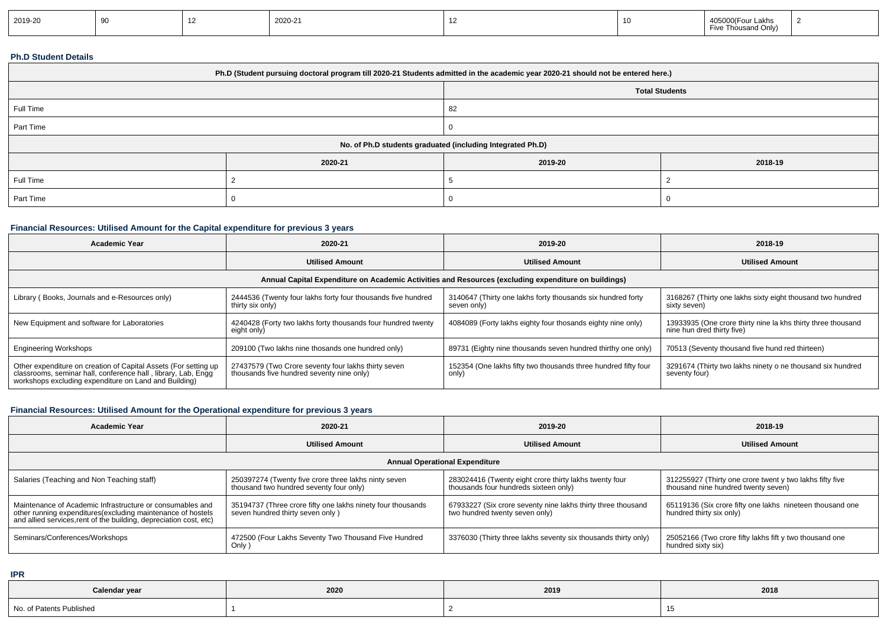| 2019-20 |  |  | 2020-21 |  |  | 405000(Four Lakhs<br>Five Thousand Only)<br>$\cdot$ $\cdot$ |  |
|---------|--|--|---------|--|--|-------------------------------------------------------------|--|
|---------|--|--|---------|--|--|-------------------------------------------------------------|--|

### **Ph.D Student Details**

| Ph.D (Student pursuing doctoral program till 2020-21 Students admitted in the academic year 2020-21 should not be entered here.) |         |         |         |  |  |  |
|----------------------------------------------------------------------------------------------------------------------------------|---------|---------|---------|--|--|--|
| <b>Total Students</b>                                                                                                            |         |         |         |  |  |  |
| Full Time                                                                                                                        |         | 82      |         |  |  |  |
| Part Time                                                                                                                        |         |         |         |  |  |  |
| No. of Ph.D students graduated (including Integrated Ph.D)                                                                       |         |         |         |  |  |  |
|                                                                                                                                  | 2020-21 | 2019-20 | 2018-19 |  |  |  |
| Full Time                                                                                                                        |         |         |         |  |  |  |
| Part Time                                                                                                                        |         |         |         |  |  |  |

### **Financial Resources: Utilised Amount for the Capital expenditure for previous 3 years**

| <b>Academic Year</b>                                                                                                                                                                      | 2020-21                                                                                          | 2019-20                                                                                              | 2018-19                                                                                    |
|-------------------------------------------------------------------------------------------------------------------------------------------------------------------------------------------|--------------------------------------------------------------------------------------------------|------------------------------------------------------------------------------------------------------|--------------------------------------------------------------------------------------------|
|                                                                                                                                                                                           | <b>Utilised Amount</b>                                                                           | <b>Utilised Amount</b>                                                                               | <b>Utilised Amount</b>                                                                     |
|                                                                                                                                                                                           |                                                                                                  | Annual Capital Expenditure on Academic Activities and Resources (excluding expenditure on buildings) |                                                                                            |
| Library (Books, Journals and e-Resources only)                                                                                                                                            | 2444536 (Twenty four lakhs forty four thousands five hundred<br>thirty six only)                 | 3140647 (Thirty one lakhs forty thousands six hundred forty<br>seven only)                           | 3168267 (Thirty one lakhs sixty eight thousand two hundred<br>sixty seven)                 |
| New Equipment and software for Laboratories                                                                                                                                               | 4240428 (Forty two lakhs forty thousands four hundred twenty<br>eight only)                      | 4084089 (Forty lakhs eighty four thosands eighty nine only)                                          | 13933935 (One crore thirty nine la khs thirty three thousand<br>nine hun dred thirty five) |
| <b>Engineering Workshops</b>                                                                                                                                                              | 209100 (Two lakhs nine thosands one hundred only)                                                | 89731 (Eighty nine thousands seven hundred thirthy one only)                                         | 70513 (Seventy thousand five hund red thirteen)                                            |
| Other expenditure on creation of Capital Assets (For setting up<br>classrooms, seminar hall, conference hall, library, Lab, Engg<br>workshops excluding expenditure on Land and Building) | 27437579 (Two Crore seventy four lakhs thirty seven<br>thousands five hundred seventy nine only) | 152354 (One lakhs fifty two thousands three hundred fifty four<br>only)                              | 3291674 (Thirty two lakhs ninety o ne thousand six hundred<br>seventy four)                |

# **Financial Resources: Utilised Amount for the Operational expenditure for previous 3 years**

| <b>Academic Year</b>                                                                                                                                                                            | 2020-21                                                                                         | 2019-20                                                                                         | 2018-19                                                                                         |
|-------------------------------------------------------------------------------------------------------------------------------------------------------------------------------------------------|-------------------------------------------------------------------------------------------------|-------------------------------------------------------------------------------------------------|-------------------------------------------------------------------------------------------------|
|                                                                                                                                                                                                 | <b>Utilised Amount</b>                                                                          | <b>Utilised Amount</b>                                                                          | <b>Utilised Amount</b>                                                                          |
|                                                                                                                                                                                                 |                                                                                                 | <b>Annual Operational Expenditure</b>                                                           |                                                                                                 |
| Salaries (Teaching and Non Teaching staff)                                                                                                                                                      | 250397274 (Twenty five crore three lakhs ninty seven<br>thousand two hundred seventy four only) | 283024416 (Twenty eight crore thirty lakhs twenty four<br>thousands four hundreds sixteen only) | 312255927 (Thirty one crore twent y two lakhs fifty five<br>thousand nine hundred twenty seven) |
| Maintenance of Academic Infrastructure or consumables and<br>other running expenditures (excluding maintenance of hostels<br>and allied services, rent of the building, depreciation cost, etc) | 35194737 (Three crore fifty one lakhs ninety four thousands<br>seven hundred thirty seven only) | 67933227 (Six crore seventy nine lakhs thirty three thousand<br>two hundred twenty seven only)  | 65119136 (Six crore fifty one lakhs nineteen thousand one<br>hundred thirty six only)           |
| Seminars/Conferences/Workshops                                                                                                                                                                  | 472500 (Four Lakhs Seventy Two Thousand Five Hundred<br>Only)                                   | 3376030 (Thirty three lakhs seventy six thousands thirty only)                                  | 25052166 (Two crore fifty lakhs fift y two thousand one<br>hundred sixty six)                   |

**IPR**

| Calendar year            | 2020 | 2019 | 2018 |
|--------------------------|------|------|------|
| No. of Patents Published |      |      |      |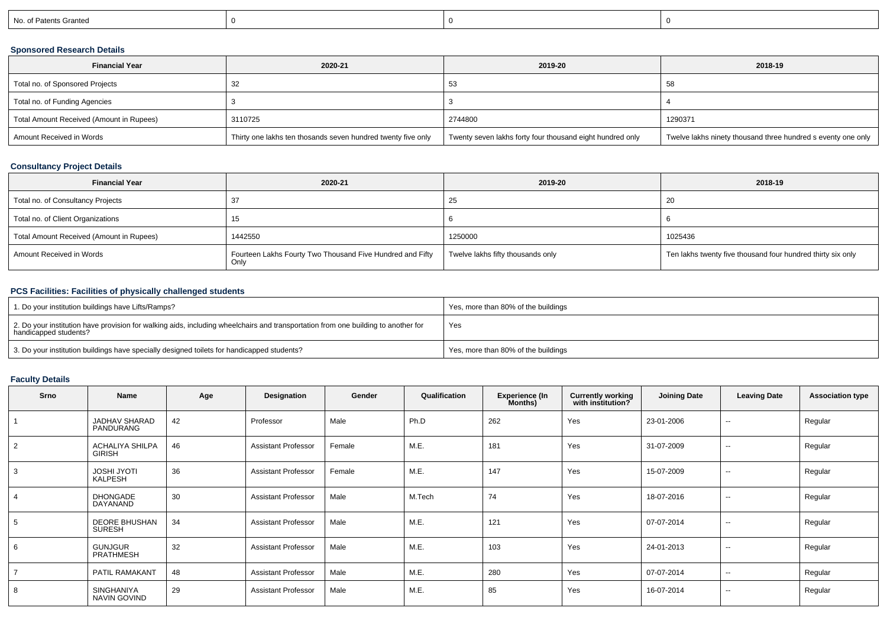| No. of Patents Granted |
|------------------------|
|------------------------|

### **Sponsored Research Details**

| <b>Financial Year</b>                    | 2020-21                                                      | 2019-20                                                   | 2018-19                                                      |
|------------------------------------------|--------------------------------------------------------------|-----------------------------------------------------------|--------------------------------------------------------------|
| Total no. of Sponsored Projects          | 32                                                           | ు                                                         | -58                                                          |
| Total no. of Funding Agencies            |                                                              |                                                           |                                                              |
| Total Amount Received (Amount in Rupees) | 3110725                                                      | 2744800                                                   | 1290371                                                      |
| Amount Received in Words                 | Thirty one lakhs ten thosands seven hundred twenty five only | Twenty seven lakhs forty four thousand eight hundred only | Twelve lakhs ninety thousand three hundred s eventy one only |

### **Consultancy Project Details**

| <b>Financial Year</b>                    | 2020-21                                                           | 2019-20                           | 2018-19                                                     |
|------------------------------------------|-------------------------------------------------------------------|-----------------------------------|-------------------------------------------------------------|
| Total no. of Consultancy Projects        |                                                                   | 25                                | -20                                                         |
| Total no. of Client Organizations        |                                                                   |                                   |                                                             |
| Total Amount Received (Amount in Rupees) | 1442550                                                           | 1250000                           | 1025436                                                     |
| Amount Received in Words                 | Fourteen Lakhs Fourty Two Thousand Five Hundred and Fifty<br>Only | Twelve lakhs fifty thousands only | Ten lakhs twenty five thousand four hundred thirty six only |

### **PCS Facilities: Facilities of physically challenged students**

| 1. Do your institution buildings have Lifts/Ramps?                                                                                                         | Yes, more than 80% of the buildings |
|------------------------------------------------------------------------------------------------------------------------------------------------------------|-------------------------------------|
| 2. Do your institution have provision for walking aids, including wheelchairs and transportation from one building to another for<br>handicapped students? | Yes                                 |
| 3. Do your institution buildings have specially designed toilets for handicapped students?                                                                 | Yes, more than 80% of the buildings |

### **Faculty Details**

| Srno           | Name                                    | Age | Designation                | Gender | Qualification | <b>Experience (In</b><br>Months) | <b>Currently working</b><br>with institution? | <b>Joining Date</b> | <b>Leaving Date</b>      | <b>Association type</b> |
|----------------|-----------------------------------------|-----|----------------------------|--------|---------------|----------------------------------|-----------------------------------------------|---------------------|--------------------------|-------------------------|
|                | <b>JADHAV SHARAD</b><br>PANDURANG       | 42  | Professor                  | Male   | Ph.D          | 262                              | Yes                                           | 23-01-2006          | $\overline{\phantom{a}}$ | Regular                 |
| 2              | <b>ACHALIYA SHILPA</b><br><b>GIRISH</b> | 46  | <b>Assistant Professor</b> | Female | M.E.          | 181                              | Yes                                           | 31-07-2009          | $\sim$                   | Regular                 |
| 3              | <b>JOSHI JYOTI</b><br>KALPESH           | 36  | <b>Assistant Professor</b> | Female | M.E.          | 147                              | Yes                                           | 15-07-2009          | $\sim$                   | Regular                 |
| $\overline{4}$ | <b>DHONGADE</b><br>DAYANAND             | 30  | <b>Assistant Professor</b> | Male   | M.Tech        | 74                               | Yes                                           | 18-07-2016          | $\sim$                   | Regular                 |
| 5              | <b>DEORE BHUSHAN</b><br><b>SURESH</b>   | 34  | <b>Assistant Professor</b> | Male   | M.E.          | 121                              | Yes                                           | 07-07-2014          | $\sim$                   | Regular                 |
| 6              | <b>GUNJGUR</b><br>PRATHMESH             | 32  | <b>Assistant Professor</b> | Male   | M.E.          | 103                              | Yes                                           | 24-01-2013          | $\overline{\phantom{a}}$ | Regular                 |
|                | PATIL RAMAKANT                          | 48  | <b>Assistant Professor</b> | Male   | M.E.          | 280                              | Yes                                           | 07-07-2014          | $\sim$                   | Regular                 |
| 8              | SINGHANIYA<br>NAVIN GOVIND              | 29  | <b>Assistant Professor</b> | Male   | M.E.          | 85                               | Yes                                           | 16-07-2014          | $\sim$                   | Regular                 |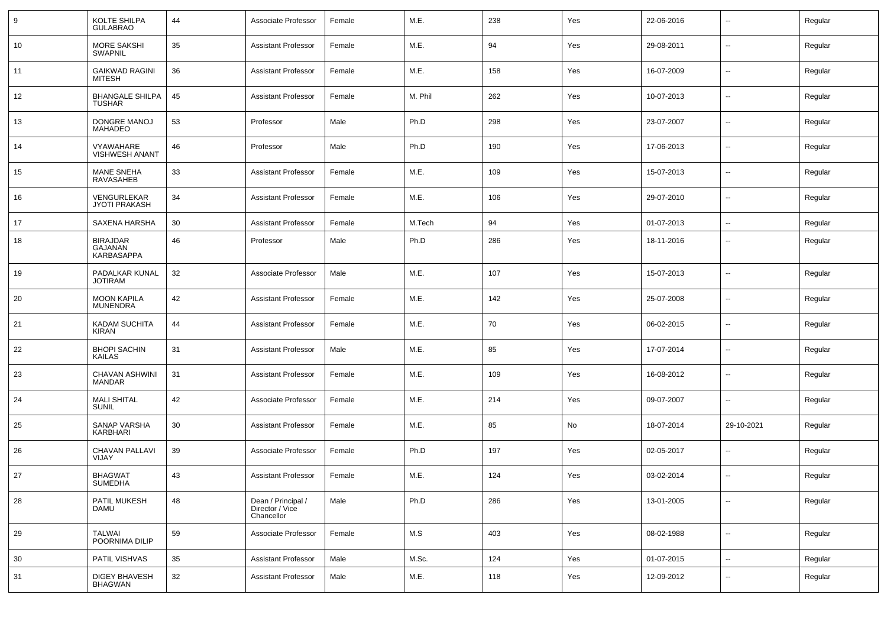| KOLTE SHILPA<br><b>GULABRAO</b>          | 44 | Associate Professor                                 | Female | M.E.    | 238 | Yes | 22-06-2016 | $\overline{\phantom{a}}$ | Regular |
|------------------------------------------|----|-----------------------------------------------------|--------|---------|-----|-----|------------|--------------------------|---------|
| <b>MORE SAKSHI</b><br><b>SWAPNIL</b>     | 35 | <b>Assistant Professor</b>                          | Female | M.E.    | 94  | Yes | 29-08-2011 | $\sim$                   | Regular |
| <b>GAIKWAD RAGINI</b><br><b>MITESH</b>   | 36 | <b>Assistant Professor</b>                          | Female | M.E.    | 158 | Yes | 16-07-2009 | $\sim$                   | Regular |
| <b>BHANGALE SHILPA</b><br><b>TUSHAR</b>  | 45 | <b>Assistant Professor</b>                          | Female | M. Phil | 262 | Yes | 10-07-2013 | $\sim$                   | Regular |
| DONGRE MANOJ<br><b>MAHADEO</b>           | 53 | Professor                                           | Male   | Ph.D    | 298 | Yes | 23-07-2007 | $\sim$                   | Regular |
| VYAWAHARE<br><b>VISHWESH ANANT</b>       | 46 | Professor                                           | Male   | Ph.D    | 190 | Yes | 17-06-2013 | $\overline{\phantom{a}}$ | Regular |
| <b>MANE SNEHA</b><br>RAVASAHEB           | 33 | <b>Assistant Professor</b>                          | Female | M.E.    | 109 | Yes | 15-07-2013 | $\sim$                   | Regular |
| VENGURLEKAR<br><b>JYOTI PRAKASH</b>      | 34 | <b>Assistant Professor</b>                          | Female | M.E.    | 106 | Yes | 29-07-2010 | $\sim$                   | Regular |
| <b>SAXENA HARSHA</b>                     | 30 | <b>Assistant Professor</b>                          | Female | M.Tech  | 94  | Yes | 01-07-2013 | $\overline{\phantom{a}}$ | Regular |
| <b>BIRAJDAR</b><br>GAJANAN<br>KARBASAPPA | 46 | Professor                                           | Male   | Ph.D    | 286 | Yes | 18-11-2016 | $\overline{\phantom{a}}$ | Regular |
| PADALKAR KUNAL<br><b>JOTIRAM</b>         | 32 | Associate Professor                                 | Male   | M.E.    | 107 | Yes | 15-07-2013 | $\overline{\phantom{a}}$ | Regular |
| <b>MOON KAPILA</b><br><b>MUNENDRA</b>    | 42 | <b>Assistant Professor</b>                          | Female | M.E.    | 142 | Yes | 25-07-2008 | $\sim$                   | Regular |
| <b>KADAM SUCHITA</b><br><b>KIRAN</b>     | 44 | <b>Assistant Professor</b>                          | Female | M.E.    | 70  | Yes | 06-02-2015 | $\overline{\phantom{a}}$ | Regular |
| <b>BHOPI SACHIN</b><br><b>KAILAS</b>     | 31 | <b>Assistant Professor</b>                          | Male   | M.E.    | 85  | Yes | 17-07-2014 | $\sim$                   | Regular |
| CHAVAN ASHWINI<br><b>MANDAR</b>          | 31 | <b>Assistant Professor</b>                          | Female | M.E.    | 109 | Yes | 16-08-2012 | $\overline{\phantom{a}}$ | Regular |
| <b>MALI SHITAL</b><br><b>SUNIL</b>       | 42 | Associate Professor                                 | Female | M.E.    | 214 | Yes | 09-07-2007 | $\overline{\phantom{a}}$ | Regular |
| SANAP VARSHA<br><b>KARBHARI</b>          | 30 | <b>Assistant Professor</b>                          | Female | M.E.    | 85  | No  | 18-07-2014 | 29-10-2021               | Regular |
| CHAVAN PALLAVI<br>VIJAY                  | 39 | Associate Professor                                 | Female | Ph.D    | 197 | Yes | 02-05-2017 | $\overline{\phantom{a}}$ | Regular |
| <b>BHAGWAT</b><br><b>SUMEDHA</b>         | 43 | <b>Assistant Professor</b>                          | Female | M.E.    | 124 | Yes | 03-02-2014 | $\overline{\phantom{a}}$ | Regular |
| PATIL MUKESH<br>DAMU                     | 48 | Dean / Principal /<br>Director / Vice<br>Chancellor | Male   | Ph.D    | 286 | Yes | 13-01-2005 | $\sim$                   | Regular |
| <b>TALWAI</b><br>POORNIMA DILIP          | 59 | Associate Professor                                 | Female | M.S     | 403 | Yes | 08-02-1988 | $\sim$                   | Regular |
| PATIL VISHVAS                            | 35 | <b>Assistant Professor</b>                          | Male   | M.Sc.   | 124 | Yes | 01-07-2015 | $\sim$                   | Regular |
| DIGEY BHAVESH<br><b>BHAGWAN</b>          | 32 | <b>Assistant Professor</b>                          | Male   | M.E.    | 118 | Yes | 12-09-2012 | ⊶.                       | Regular |
|                                          |    |                                                     |        |         |     |     |            |                          |         |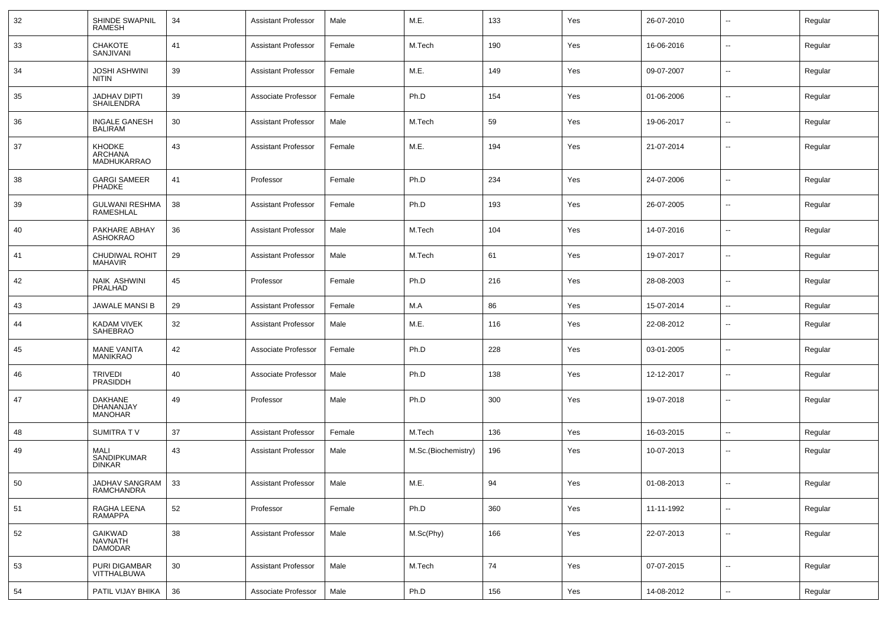| 32 | SHINDE SWAPNIL<br><b>RAMESH</b>             | 34 | <b>Assistant Professor</b> | Male   | M.E.                | 133 | Yes | 26-07-2010 | $\sim$                   | Regular |
|----|---------------------------------------------|----|----------------------------|--------|---------------------|-----|-----|------------|--------------------------|---------|
| 33 | CHAKOTE<br>SANJIVANI                        | 41 | Assistant Professor        | Female | M.Tech              | 190 | Yes | 16-06-2016 | $\overline{\phantom{a}}$ | Regular |
| 34 | <b>JOSHI ASHWINI</b><br><b>NITIN</b>        | 39 | Assistant Professor        | Female | M.E.                | 149 | Yes | 09-07-2007 | $\overline{\phantom{a}}$ | Regular |
| 35 | <b>JADHAV DIPTI</b><br><b>SHAILENDRA</b>    | 39 | Associate Professor        | Female | Ph.D                | 154 | Yes | 01-06-2006 | $\overline{\phantom{a}}$ | Regular |
| 36 | <b>INGALE GANESH</b><br><b>BALIRAM</b>      | 30 | Assistant Professor        | Male   | M.Tech              | 59  | Yes | 19-06-2017 | $\overline{\phantom{a}}$ | Regular |
| 37 | KHODKE<br><b>ARCHANA</b><br>MADHUKARRAO     | 43 | Assistant Professor        | Female | M.E.                | 194 | Yes | 21-07-2014 | $\overline{\phantom{a}}$ | Regular |
| 38 | <b>GARGI SAMEER</b><br>PHADKE               | 41 | Professor                  | Female | Ph.D                | 234 | Yes | 24-07-2006 | $\sim$                   | Regular |
| 39 | <b>GULWANI RESHMA</b><br>RAMESHLAL          | 38 | <b>Assistant Professor</b> | Female | Ph.D                | 193 | Yes | 26-07-2005 | $\sim$                   | Regular |
| 40 | PAKHARE ABHAY<br><b>ASHOKRAO</b>            | 36 | <b>Assistant Professor</b> | Male   | M.Tech              | 104 | Yes | 14-07-2016 | $\sim$                   | Regular |
| 41 | CHUDIWAL ROHIT<br><b>MAHAVIR</b>            | 29 | <b>Assistant Professor</b> | Male   | M.Tech              | 61  | Yes | 19-07-2017 | $\overline{\phantom{a}}$ | Regular |
| 42 | NAIK ASHWINI<br><b>PRALHAD</b>              | 45 | Professor                  | Female | Ph.D                | 216 | Yes | 28-08-2003 | $\sim$                   | Regular |
| 43 | JAWALE MANSI B                              | 29 | Assistant Professor        | Female | M.A                 | 86  | Yes | 15-07-2014 | $\overline{\phantom{a}}$ | Regular |
| 44 | KADAM VIVEK<br>SAHEBRAO                     | 32 | Assistant Professor        | Male   | M.E.                | 116 | Yes | 22-08-2012 | $\overline{\phantom{a}}$ | Regular |
| 45 | <b>MANE VANITA</b><br><b>MANIKRAO</b>       | 42 | Associate Professor        | Female | Ph.D                | 228 | Yes | 03-01-2005 | $\overline{\phantom{a}}$ | Regular |
| 46 | <b>TRIVEDI</b><br><b>PRASIDDH</b>           | 40 | Associate Professor        | Male   | Ph.D                | 138 | Yes | 12-12-2017 | $\overline{\phantom{a}}$ | Regular |
| 47 | DAKHANE<br>DHANANJAY<br><b>MANOHAR</b>      | 49 | Professor                  | Male   | Ph.D                | 300 | Yes | 19-07-2018 | $\overline{\phantom{a}}$ | Regular |
| 48 | <b>SUMITRATV</b>                            | 37 | <b>Assistant Professor</b> | Female | M.Tech              | 136 | Yes | 16-03-2015 | $\overline{\phantom{a}}$ | Regular |
| 49 | MALI<br><b>SANDIPKUMAR</b><br><b>DINKAR</b> | 43 | <b>Assistant Professor</b> | Male   | M.Sc.(Biochemistry) | 196 | Yes | 10-07-2013 | $\sim$                   | Regular |
| 50 | JADHAV SANGRAM   33<br>RAMCHANDRA           |    | Assistant Professor        | Male   | M.E.                | 94  | Yes | 01-08-2013 |                          | Regular |
| 51 | RAGHA LEENA<br>RAMAPPA                      | 52 | Professor                  | Female | Ph.D                | 360 | Yes | 11-11-1992 | $\sim$                   | Regular |
| 52 | GAIKWAD<br><b>NAVNATH</b><br><b>DAMODAR</b> | 38 | <b>Assistant Professor</b> | Male   | M.Sc(Phy)           | 166 | Yes | 22-07-2013 | $\overline{\phantom{a}}$ | Regular |
| 53 | PURI DIGAMBAR<br>VITTHALBUWA                | 30 | <b>Assistant Professor</b> | Male   | M.Tech              | 74  | Yes | 07-07-2015 | $\overline{\phantom{a}}$ | Regular |
| 54 | PATIL VIJAY BHIKA                           | 36 | Associate Professor        | Male   | Ph.D                | 156 | Yes | 14-08-2012 | $\overline{\phantom{a}}$ | Regular |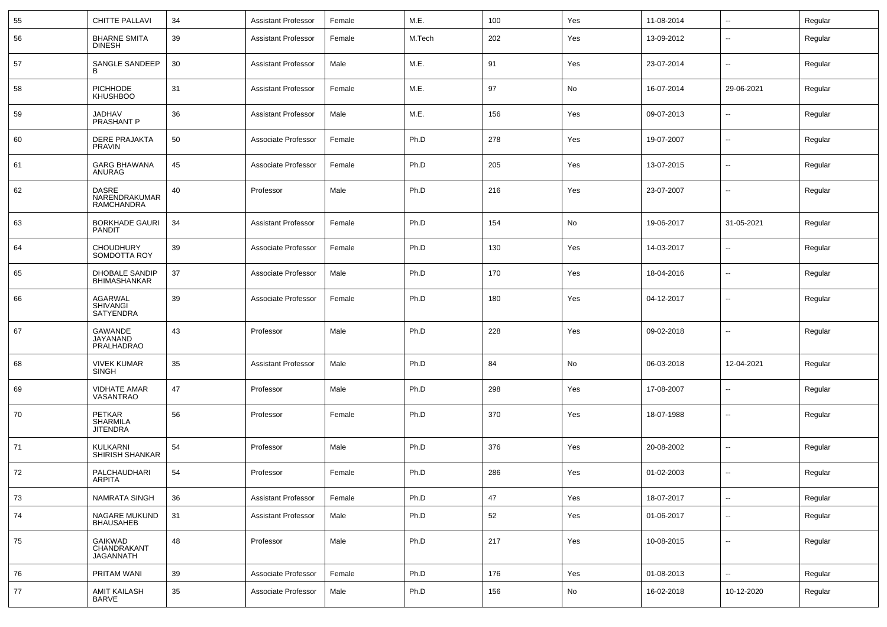| 55 | <b>CHITTE PALLAVI</b>                                 | 34     | <b>Assistant Professor</b> | Female | M.E.   | 100 | Yes | 11-08-2014 | $\sim$                   | Regular |
|----|-------------------------------------------------------|--------|----------------------------|--------|--------|-----|-----|------------|--------------------------|---------|
| 56 | <b>BHARNE SMITA</b><br><b>DINESH</b>                  | 39     | <b>Assistant Professor</b> | Female | M.Tech | 202 | Yes | 13-09-2012 | --                       | Regular |
| 57 | SANGLE SANDEEP<br>B                                   | 30     | <b>Assistant Professor</b> | Male   | M.E.   | 91  | Yes | 23-07-2014 | --                       | Regular |
| 58 | <b>PICHHODE</b><br><b>KHUSHBOO</b>                    | 31     | <b>Assistant Professor</b> | Female | M.E.   | 97  | No  | 16-07-2014 | 29-06-2021               | Regular |
| 59 | <b>JADHAV</b><br>PRASHANT P                           | 36     | <b>Assistant Professor</b> | Male   | M.E.   | 156 | Yes | 09-07-2013 | --                       | Regular |
| 60 | DERE PRAJAKTA<br>PRAVIN                               | 50     | Associate Professor        | Female | Ph.D   | 278 | Yes | 19-07-2007 | $\overline{\phantom{a}}$ | Regular |
| 61 | <b>GARG BHAWANA</b><br>ANURAG                         | 45     | Associate Professor        | Female | Ph.D   | 205 | Yes | 13-07-2015 | --                       | Regular |
| 62 | <b>DASRE</b><br>NARENDRAKUMAR<br><b>RAMCHANDRA</b>    | 40     | Professor                  | Male   | Ph.D   | 216 | Yes | 23-07-2007 | $\overline{\phantom{a}}$ | Regular |
| 63 | <b>BORKHADE GAURI</b><br><b>PANDIT</b>                | 34     | Assistant Professor        | Female | Ph.D   | 154 | No  | 19-06-2017 | 31-05-2021               | Regular |
| 64 | <b>CHOUDHURY</b><br>SOMDOTTA ROY                      | 39     | Associate Professor        | Female | Ph.D   | 130 | Yes | 14-03-2017 | $\sim$                   | Regular |
| 65 | <b>DHOBALE SANDIP</b><br><b>BHIMASHANKAR</b>          | 37     | Associate Professor        | Male   | Ph.D   | 170 | Yes | 18-04-2016 | $\sim$                   | Regular |
| 66 | <b>AGARWAL</b><br><b>SHIVANGI</b><br><b>SATYENDRA</b> | 39     | Associate Professor        | Female | Ph.D   | 180 | Yes | 04-12-2017 | $\sim$                   | Regular |
| 67 | GAWANDE<br>JAYANAND<br>PRALHADRAO                     | 43     | Professor                  | Male   | Ph.D   | 228 | Yes | 09-02-2018 | --                       | Regular |
| 68 | <b>VIVEK KUMAR</b><br><b>SINGH</b>                    | 35     | <b>Assistant Professor</b> | Male   | Ph.D   | 84  | No  | 06-03-2018 | 12-04-2021               | Regular |
| 69 | <b>VIDHATE AMAR</b><br>VASANTRAO                      | 47     | Professor                  | Male   | Ph.D   | 298 | Yes | 17-08-2007 | $\overline{\phantom{a}}$ | Regular |
| 70 | <b>PETKAR</b><br><b>SHARMILA</b><br><b>JITENDRA</b>   | 56     | Professor                  | Female | Ph.D   | 370 | Yes | 18-07-1988 | --                       | Regular |
| 71 | KULKARNI<br>SHIRISH SHANKAR                           | 54     | Professor                  | Male   | Ph.D   | 376 | Yes | 20-08-2002 | --                       | Regular |
| 72 | PALCHAUDHARI<br><b>ARPITA</b>                         | 54     | Professor                  | Female | Ph.D   | 286 | Yes | 01-02-2003 | $\overline{\phantom{a}}$ | Regular |
| 73 | NAMRATA SINGH                                         | 36     | <b>Assistant Professor</b> | Female | Ph.D   | 47  | Yes | 18-07-2017 | $\sim$                   | Regular |
| 74 | NAGARE MUKUND<br>BHAUSAHEB                            | 31     | <b>Assistant Professor</b> | Male   | Ph.D   | 52  | Yes | 01-06-2017 | $\sim$                   | Regular |
| 75 | GAIKWAD<br>CHANDRAKANT<br>JAGANNATH                   | 48     | Professor                  | Male   | Ph.D   | 217 | Yes | 10-08-2015 | $\overline{\phantom{a}}$ | Regular |
| 76 | PRITAM WANI                                           | 39     | Associate Professor        | Female | Ph.D   | 176 | Yes | 01-08-2013 | $\sim$                   | Regular |
| 77 | <b>AMIT KAILASH</b><br><b>BARVE</b>                   | $35\,$ | Associate Professor        | Male   | Ph.D   | 156 | No  | 16-02-2018 | 10-12-2020               | Regular |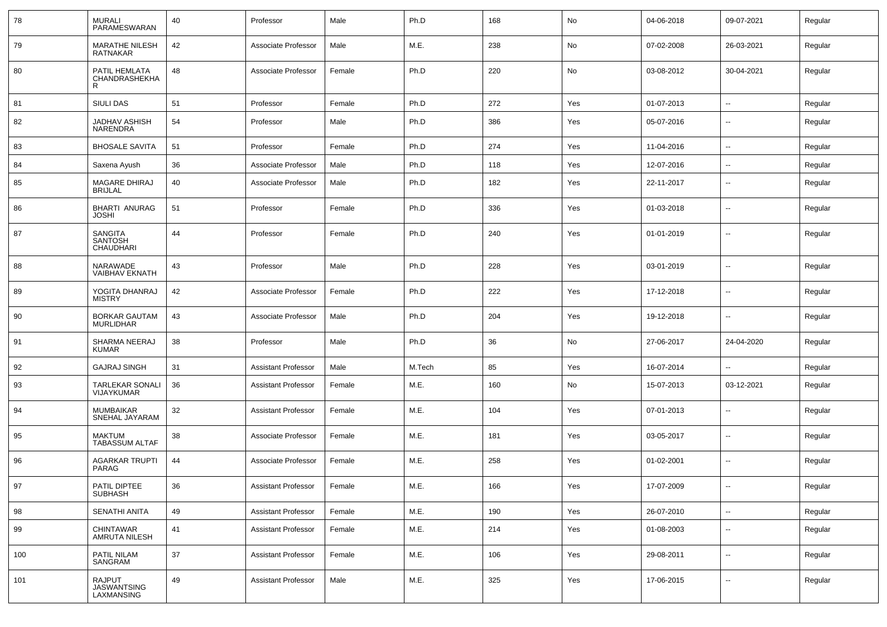| 78  | <b>MURALI</b><br>PARAMESWARAN                 | 40 | Professor                  | Male   | Ph.D   | 168 | No  | 04-06-2018 | 09-07-2021               | Regular |
|-----|-----------------------------------------------|----|----------------------------|--------|--------|-----|-----|------------|--------------------------|---------|
| 79  | <b>MARATHE NILESH</b><br><b>RATNAKAR</b>      | 42 | Associate Professor        | Male   | M.E.   | 238 | No  | 07-02-2008 | 26-03-2021               | Regular |
| 80  | PATIL HEMLATA<br>CHANDRASHEKHA<br>R           | 48 | Associate Professor        | Female | Ph.D   | 220 | No  | 03-08-2012 | 30-04-2021               | Regular |
| 81  | SIULI DAS                                     | 51 | Professor                  | Female | Ph.D   | 272 | Yes | 01-07-2013 | $\overline{\phantom{a}}$ | Regular |
| 82  | <b>JADHAV ASHISH</b><br>NARENDRA              | 54 | Professor                  | Male   | Ph.D   | 386 | Yes | 05-07-2016 | $\overline{\phantom{a}}$ | Regular |
| 83  | <b>BHOSALE SAVITA</b>                         | 51 | Professor                  | Female | Ph.D   | 274 | Yes | 11-04-2016 | $\sim$                   | Regular |
| 84  | Saxena Ayush                                  | 36 | Associate Professor        | Male   | Ph.D   | 118 | Yes | 12-07-2016 | --                       | Regular |
| 85  | MAGARE DHIRAJ<br><b>BRIJLAL</b>               | 40 | Associate Professor        | Male   | Ph.D   | 182 | Yes | 22-11-2017 | $\overline{\phantom{a}}$ | Regular |
| 86  | <b>BHARTI ANURAG</b><br><b>JOSHI</b>          | 51 | Professor                  | Female | Ph.D   | 336 | Yes | 01-03-2018 | $\overline{\phantom{a}}$ | Regular |
| 87  | <b>SANGITA</b><br><b>SANTOSH</b><br>CHAUDHARI | 44 | Professor                  | Female | Ph.D   | 240 | Yes | 01-01-2019 | $\overline{\phantom{a}}$ | Regular |
| 88  | NARAWADE<br><b>VAIBHAV EKNATH</b>             | 43 | Professor                  | Male   | Ph.D   | 228 | Yes | 03-01-2019 | --                       | Regular |
| 89  | YOGITA DHANRAJ<br><b>MISTRY</b>               | 42 | Associate Professor        | Female | Ph.D   | 222 | Yes | 17-12-2018 | $\overline{a}$           | Regular |
| 90  | <b>BORKAR GAUTAM</b><br><b>MURLIDHAR</b>      | 43 | Associate Professor        | Male   | Ph.D   | 204 | Yes | 19-12-2018 | --                       | Regular |
| 91  | SHARMA NEERAJ<br><b>KUMAR</b>                 | 38 | Professor                  | Male   | Ph.D   | 36  | No  | 27-06-2017 | 24-04-2020               | Regular |
| 92  | <b>GAJRAJ SINGH</b>                           | 31 | <b>Assistant Professor</b> | Male   | M.Tech | 85  | Yes | 16-07-2014 | --                       | Regular |
| 93  | <b>TARLEKAR SONALI</b><br>VIJAYKUMAR          | 36 | <b>Assistant Professor</b> | Female | M.E.   | 160 | No  | 15-07-2013 | 03-12-2021               | Regular |
| 94  | <b>MUMBAIKAR</b><br>SNEHAL JAYARAM            | 32 | <b>Assistant Professor</b> | Female | M.E.   | 104 | Yes | 07-01-2013 | $\overline{\phantom{a}}$ | Regular |
| 95  | <b>MAKTUM</b><br><b>TABASSUM ALTAF</b>        | 38 | Associate Professor        | Female | M.E.   | 181 | Yes | 03-05-2017 | --                       | Regular |
| 96  | <b>AGARKAR TRUPTI</b><br>PARAG                | 44 | Associate Professor        | Female | M.E.   | 258 | Yes | 01-02-2001 | $\sim$                   | Regular |
| 97  | PATIL DIPTEE<br><b>SUBHASH</b>                | 36 | Assistant Professor        | Female | M.E.   | 166 | Yes | 17-07-2009 | $\overline{\phantom{a}}$ | Regular |
| 98  | <b>SENATHI ANITA</b>                          | 49 | <b>Assistant Professor</b> | Female | M.E.   | 190 | Yes | 26-07-2010 | $\overline{\phantom{a}}$ | Regular |
| 99  | CHINTAWAR<br>AMRUTA NILESH                    | 41 | <b>Assistant Professor</b> | Female | M.E.   | 214 | Yes | 01-08-2003 | $\sim$                   | Regular |
| 100 | PATIL NILAM<br>SANGRAM                        | 37 | <b>Assistant Professor</b> | Female | M.E.   | 106 | Yes | 29-08-2011 | $\sim$                   | Regular |
| 101 | RAJPUT<br>JASWANTSING<br>LAXMANSING           | 49 | <b>Assistant Professor</b> | Male   | M.E.   | 325 | Yes | 17-06-2015 | $\overline{\phantom{a}}$ | Regular |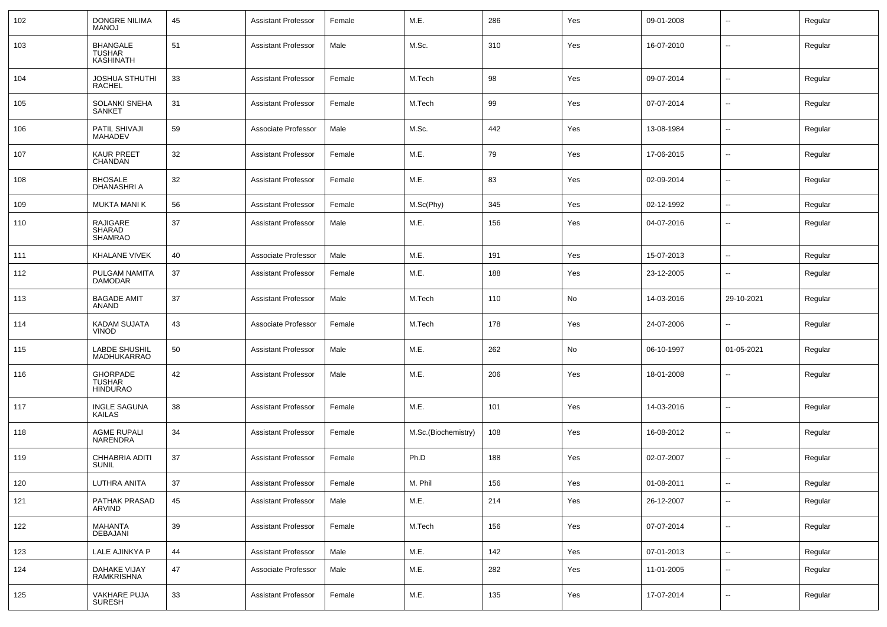| 102 | <b>DONGRE NILIMA</b><br><b>MANOJ</b>                 | 45 | <b>Assistant Professor</b> | Female | M.E.                | 286 | Yes | 09-01-2008 | $\overline{\phantom{a}}$ | Regular |
|-----|------------------------------------------------------|----|----------------------------|--------|---------------------|-----|-----|------------|--------------------------|---------|
| 103 | <b>BHANGALE</b><br><b>TUSHAR</b><br><b>KASHINATH</b> | 51 | <b>Assistant Professor</b> | Male   | M.Sc.               | 310 | Yes | 16-07-2010 | $\overline{\phantom{a}}$ | Regular |
| 104 | <b>JOSHUA STHUTHI</b><br><b>RACHEL</b>               | 33 | <b>Assistant Professor</b> | Female | M.Tech              | 98  | Yes | 09-07-2014 | $\mathbf{u}$             | Regular |
| 105 | <b>SOLANKI SNEHA</b><br><b>SANKET</b>                | 31 | <b>Assistant Professor</b> | Female | M.Tech              | 99  | Yes | 07-07-2014 | $\mathbf{u}$             | Regular |
| 106 | PATIL SHIVAJI<br><b>MAHADEV</b>                      | 59 | Associate Professor        | Male   | M.Sc.               | 442 | Yes | 13-08-1984 | $\overline{\phantom{a}}$ | Regular |
| 107 | <b>KAUR PREET</b><br><b>CHANDAN</b>                  | 32 | <b>Assistant Professor</b> | Female | M.E.                | 79  | Yes | 17-06-2015 | $\overline{\phantom{a}}$ | Regular |
| 108 | <b>BHOSALE</b><br>DHANASHRI A                        | 32 | <b>Assistant Professor</b> | Female | M.E.                | 83  | Yes | 02-09-2014 | $\overline{\phantom{a}}$ | Regular |
| 109 | <b>MUKTA MANIK</b>                                   | 56 | <b>Assistant Professor</b> | Female | M.Sc(Phy)           | 345 | Yes | 02-12-1992 | $\mathbf{u}$             | Regular |
| 110 | RAJIGARE<br>SHARAD<br><b>SHAMRAO</b>                 | 37 | <b>Assistant Professor</b> | Male   | M.E.                | 156 | Yes | 04-07-2016 | $\mathbf{u}$             | Regular |
| 111 | <b>KHALANE VIVEK</b>                                 | 40 | Associate Professor        | Male   | M.E.                | 191 | Yes | 15-07-2013 | $\mathbf{u}$             | Regular |
| 112 | PULGAM NAMITA<br><b>DAMODAR</b>                      | 37 | <b>Assistant Professor</b> | Female | M.E.                | 188 | Yes | 23-12-2005 | $\sim$                   | Regular |
| 113 | <b>BAGADE AMIT</b><br><b>ANAND</b>                   | 37 | <b>Assistant Professor</b> | Male   | M.Tech              | 110 | No  | 14-03-2016 | 29-10-2021               | Regular |
| 114 | <b>KADAM SUJATA</b><br><b>VINOD</b>                  | 43 | Associate Professor        | Female | M.Tech              | 178 | Yes | 24-07-2006 | $\sim$                   | Regular |
| 115 | <b>LABDE SHUSHIL</b><br><b>MADHUKARRAO</b>           | 50 | <b>Assistant Professor</b> | Male   | M.E.                | 262 | No  | 06-10-1997 | 01-05-2021               | Regular |
| 116 | <b>GHORPADE</b><br><b>TUSHAR</b><br><b>HINDURAO</b>  | 42 | <b>Assistant Professor</b> | Male   | M.E.                | 206 | Yes | 18-01-2008 | $\overline{\phantom{a}}$ | Regular |
| 117 | <b>INGLE SAGUNA</b><br><b>KAILAS</b>                 | 38 | <b>Assistant Professor</b> | Female | M.E.                | 101 | Yes | 14-03-2016 | $\mathbf{u}$             | Regular |
| 118 | <b>AGME RUPALI</b><br>NARENDRA                       | 34 | <b>Assistant Professor</b> | Female | M.Sc.(Biochemistry) | 108 | Yes | 16-08-2012 | $\overline{\phantom{a}}$ | Regular |
| 119 | CHHABRIA ADITI<br><b>SUNIL</b>                       | 37 | <b>Assistant Professor</b> | Female | Ph.D                | 188 | Yes | 02-07-2007 | $\mathbf{u}$             | Regular |
| 120 | LUTHRA ANITA                                         | 37 | Assistant Professor        | Female | M. Phil             | 156 | Yes | 01-08-2011 |                          | Regular |
| 121 | PATHAK PRASAD<br>ARVIND                              | 45 | <b>Assistant Professor</b> | Male   | M.E.                | 214 | Yes | 26-12-2007 | $\sim$                   | Regular |
| 122 | MAHANTA<br>DEBAJANI                                  | 39 | <b>Assistant Professor</b> | Female | M.Tech              | 156 | Yes | 07-07-2014 | $\sim$                   | Regular |
| 123 | LALE AJINKYA P                                       | 44 | <b>Assistant Professor</b> | Male   | M.E.                | 142 | Yes | 07-01-2013 | $\sim$                   | Regular |
| 124 | DAHAKE VIJAY<br>RAMKRISHNA                           | 47 | Associate Professor        | Male   | M.E.                | 282 | Yes | 11-01-2005 | $\overline{\phantom{a}}$ | Regular |
| 125 | VAKHARE PUJA<br><b>SURESH</b>                        | 33 | <b>Assistant Professor</b> | Female | M.E.                | 135 | Yes | 17-07-2014 | $\overline{\phantom{a}}$ | Regular |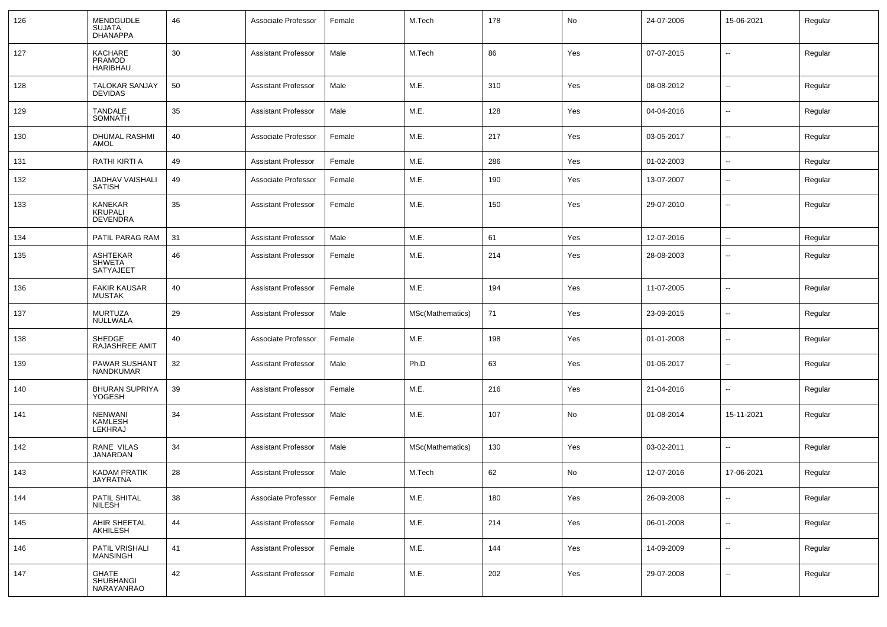| 126 | <b>MENDGUDLE</b><br><b>SUJATA</b><br><b>DHANAPPA</b> | 46 | Associate Professor        | Female | M.Tech           | 178 | No  | 24-07-2006 | 15-06-2021               | Regular |
|-----|------------------------------------------------------|----|----------------------------|--------|------------------|-----|-----|------------|--------------------------|---------|
| 127 | KACHARE<br>PRAMOD<br>HARIBHAU                        | 30 | <b>Assistant Professor</b> | Male   | M.Tech           | 86  | Yes | 07-07-2015 | $\overline{\phantom{a}}$ | Regular |
| 128 | <b>TALOKAR SANJAY</b><br><b>DEVIDAS</b>              | 50 | <b>Assistant Professor</b> | Male   | M.E.             | 310 | Yes | 08-08-2012 | $\overline{\phantom{a}}$ | Regular |
| 129 | TANDALE<br><b>SOMNATH</b>                            | 35 | <b>Assistant Professor</b> | Male   | M.E.             | 128 | Yes | 04-04-2016 | $\overline{\phantom{a}}$ | Regular |
| 130 | <b>DHUMAL RASHMI</b><br>AMOL                         | 40 | Associate Professor        | Female | M.E.             | 217 | Yes | 03-05-2017 | $\overline{\phantom{a}}$ | Regular |
| 131 | RATHI KIRTI A                                        | 49 | <b>Assistant Professor</b> | Female | M.E.             | 286 | Yes | 01-02-2003 | $\overline{\phantom{a}}$ | Regular |
| 132 | <b>JADHAV VAISHALI</b><br><b>SATISH</b>              | 49 | Associate Professor        | Female | M.E.             | 190 | Yes | 13-07-2007 | $\overline{\phantom{a}}$ | Regular |
| 133 | <b>KANEKAR</b><br><b>KRUPALI</b><br>DEVENDRA         | 35 | Assistant Professor        | Female | M.E.             | 150 | Yes | 29-07-2010 | $\overline{\phantom{a}}$ | Regular |
| 134 | PATIL PARAG RAM                                      | 31 | <b>Assistant Professor</b> | Male   | M.E.             | 61  | Yes | 12-07-2016 | $\overline{\phantom{a}}$ | Regular |
| 135 | <b>ASHTEKAR</b><br>SHWETA<br>SATYAJEET               | 46 | Assistant Professor        | Female | M.E.             | 214 | Yes | 28-08-2003 | $\overline{\phantom{a}}$ | Regular |
| 136 | <b>FAKIR KAUSAR</b><br><b>MUSTAK</b>                 | 40 | <b>Assistant Professor</b> | Female | M.E.             | 194 | Yes | 11-07-2005 | $\overline{\phantom{a}}$ | Regular |
| 137 | <b>MURTUZA</b><br>NULLWALA                           | 29 | <b>Assistant Professor</b> | Male   | MSc(Mathematics) | 71  | Yes | 23-09-2015 | $\overline{\phantom{a}}$ | Regular |
| 138 | SHEDGE<br>RAJASHREE AMIT                             | 40 | Associate Professor        | Female | M.E.             | 198 | Yes | 01-01-2008 | $\overline{\phantom{a}}$ | Regular |
| 139 | PAWAR SUSHANT<br><b>NANDKUMAR</b>                    | 32 | <b>Assistant Professor</b> | Male   | Ph.D             | 63  | Yes | 01-06-2017 | $\overline{\phantom{a}}$ | Regular |
| 140 | <b>BHURAN SUPRIYA</b><br>YOGESH                      | 39 | <b>Assistant Professor</b> | Female | M.E.             | 216 | Yes | 21-04-2016 | $\overline{\phantom{a}}$ | Regular |
| 141 | <b>NENWANI</b><br><b>KAMLESH</b><br>LEKHRAJ          | 34 | <b>Assistant Professor</b> | Male   | M.E.             | 107 | No  | 01-08-2014 | 15-11-2021               | Regular |
| 142 | RANE VILAS<br>JANARDAN                               | 34 | <b>Assistant Professor</b> | Male   | MSc(Mathematics) | 130 | Yes | 03-02-2011 | --                       | Regular |
| 143 | <b>KADAM PRATIK</b><br>JAYRATNA                      | 28 | <b>Assistant Professor</b> | Male   | M.Tech           | 62  | No  | 12-07-2016 | 17-06-2021               | Regular |
| 144 | PATIL SHITAL<br><b>NILESH</b>                        | 38 | Associate Professor        | Female | M.E.             | 180 | Yes | 26-09-2008 | $\overline{\phantom{a}}$ | Regular |
| 145 | AHIR SHEETAL<br>AKHILESH                             | 44 | <b>Assistant Professor</b> | Female | M.E.             | 214 | Yes | 06-01-2008 | Ξ.                       | Regular |
| 146 | PATIL VRISHALI<br><b>MANSINGH</b>                    | 41 | <b>Assistant Professor</b> | Female | M.E.             | 144 | Yes | 14-09-2009 | $\sim$                   | Regular |
| 147 | <b>GHATE</b><br>SHUBHANGI<br>NARAYANRAO              | 42 | <b>Assistant Professor</b> | Female | M.E.             | 202 | Yes | 29-07-2008 | $\overline{\phantom{a}}$ | Regular |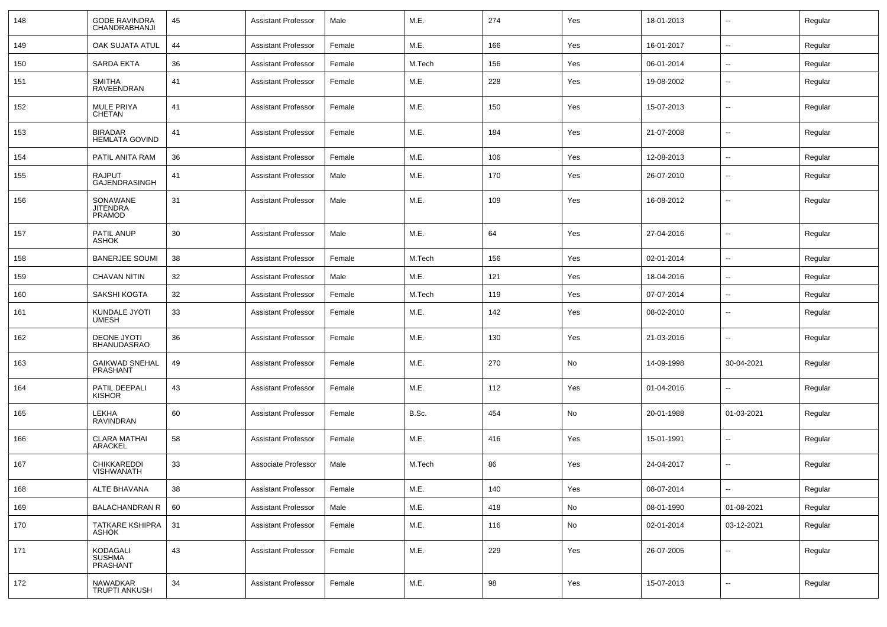| 148 | <b>GODE RAVINDRA</b><br>CHANDRABHANJI    | 45 | <b>Assistant Professor</b> | Male   | M.E.   | 274 | Yes | 18-01-2013 | $\overline{\phantom{a}}$ | Regular |
|-----|------------------------------------------|----|----------------------------|--------|--------|-----|-----|------------|--------------------------|---------|
| 149 | OAK SUJATA ATUL                          | 44 | <b>Assistant Professor</b> | Female | M.E.   | 166 | Yes | 16-01-2017 | ⊷.                       | Regular |
| 150 | SARDA EKTA                               | 36 | <b>Assistant Professor</b> | Female | M.Tech | 156 | Yes | 06-01-2014 | $\overline{\phantom{a}}$ | Regular |
| 151 | <b>SMITHA</b><br><b>RAVEENDRAN</b>       | 41 | <b>Assistant Professor</b> | Female | M.E.   | 228 | Yes | 19-08-2002 | --                       | Regular |
| 152 | <b>MULE PRIYA</b><br>CHETAN              | 41 | <b>Assistant Professor</b> | Female | M.E.   | 150 | Yes | 15-07-2013 | $\overline{\phantom{a}}$ | Regular |
| 153 | <b>BIRADAR</b><br><b>HEMLATA GOVIND</b>  | 41 | <b>Assistant Professor</b> | Female | M.E.   | 184 | Yes | 21-07-2008 | $\overline{\phantom{a}}$ | Regular |
| 154 | PATIL ANITA RAM                          | 36 | <b>Assistant Professor</b> | Female | M.E.   | 106 | Yes | 12-08-2013 | $\overline{\phantom{a}}$ | Regular |
| 155 | RAJPUT<br>GAJENDRASINGH                  | 41 | <b>Assistant Professor</b> | Male   | M.E.   | 170 | Yes | 26-07-2010 | -−                       | Regular |
| 156 | SONAWANE<br><b>JITENDRA</b><br>PRAMOD    | 31 | <b>Assistant Professor</b> | Male   | M.E.   | 109 | Yes | 16-08-2012 | --                       | Regular |
| 157 | PATIL ANUP<br>ASHOK                      | 30 | <b>Assistant Professor</b> | Male   | M.E.   | 64  | Yes | 27-04-2016 | $\overline{\phantom{a}}$ | Regular |
| 158 | <b>BANERJEE SOUMI</b>                    | 38 | <b>Assistant Professor</b> | Female | M.Tech | 156 | Yes | 02-01-2014 | $\overline{a}$           | Regular |
| 159 | <b>CHAVAN NITIN</b>                      | 32 | <b>Assistant Professor</b> | Male   | M.E.   | 121 | Yes | 18-04-2016 | --                       | Regular |
| 160 | SAKSHI KOGTA                             | 32 | <b>Assistant Professor</b> | Female | M.Tech | 119 | Yes | 07-07-2014 | $\overline{\phantom{a}}$ | Regular |
| 161 | KUNDALE JYOTI<br><b>UMESH</b>            | 33 | <b>Assistant Professor</b> | Female | M.E.   | 142 | Yes | 08-02-2010 | $\overline{\phantom{a}}$ | Regular |
| 162 | <b>DEONE JYOTI</b><br><b>BHANUDASRAO</b> | 36 | <b>Assistant Professor</b> | Female | M.E.   | 130 | Yes | 21-03-2016 | $\overline{\phantom{a}}$ | Regular |
| 163 | <b>GAIKWAD SNEHAL</b><br>PRASHANT        | 49 | <b>Assistant Professor</b> | Female | M.E.   | 270 | No  | 14-09-1998 | 30-04-2021               | Regular |
| 164 | PATIL DEEPALI<br><b>KISHOR</b>           | 43 | <b>Assistant Professor</b> | Female | M.E.   | 112 | Yes | 01-04-2016 | $\overline{\phantom{a}}$ | Regular |
| 165 | LEKHA<br>RAVINDRAN                       | 60 | <b>Assistant Professor</b> | Female | B.Sc.  | 454 | No  | 20-01-1988 | 01-03-2021               | Regular |
| 166 | <b>CLARA MATHAI</b><br>ARACKEL           | 58 | <b>Assistant Professor</b> | Female | M.E.   | 416 | Yes | 15-01-1991 | $\overline{\phantom{a}}$ | Regular |
| 167 | CHIKKAREDDI<br><b>VISHWANATH</b>         | 33 | Associate Professor        | Male   | M.Tech | 86  | Yes | 24-04-2017 | $\overline{\phantom{a}}$ | Regular |
| 168 | ALTE BHAVANA                             | 38 | Assistant Professor        | Female | M.E.   | 140 | Yes | 08-07-2014 | $\sim$                   | Regular |
| 169 | <b>BALACHANDRAN R</b>                    | 60 | Assistant Professor        | Male   | M.E.   | 418 | No  | 08-01-1990 | 01-08-2021               | Regular |
| 170 | <b>TATKARE KSHIPRA</b><br>ASHOK          | 31 | <b>Assistant Professor</b> | Female | M.E.   | 116 | No  | 02-01-2014 | 03-12-2021               | Regular |
| 171 | KODAGALI<br><b>SUSHMA</b><br>PRASHANT    | 43 | <b>Assistant Professor</b> | Female | M.E.   | 229 | Yes | 26-07-2005 | $\sim$                   | Regular |
| 172 | NAWADKAR<br>TRUPTI ANKUSH                | 34 | <b>Assistant Professor</b> | Female | M.E.   | 98  | Yes | 15-07-2013 | $\sim$                   | Regular |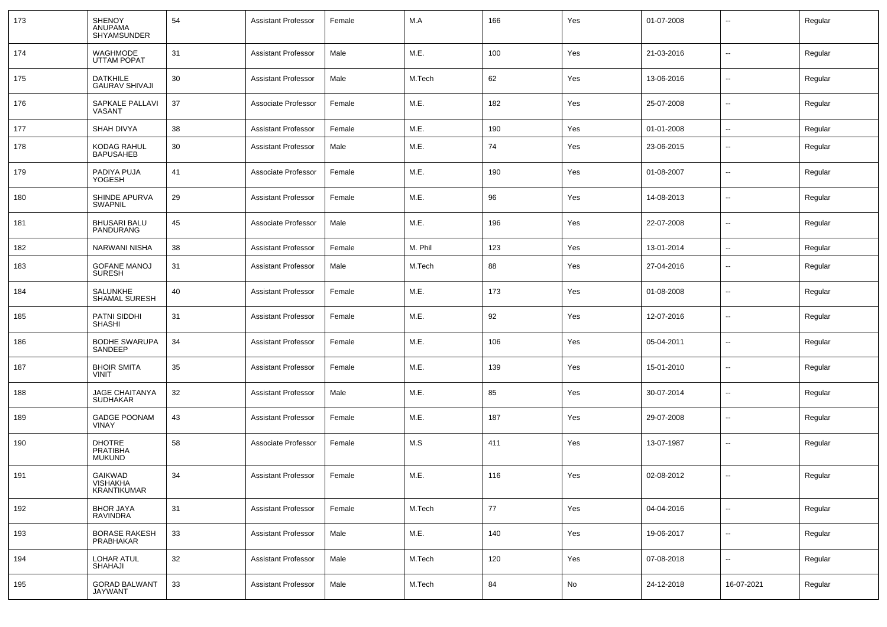| 173 | <b>SHENOY</b><br>ANUPAMA<br><b>SHYAMSUNDER</b>    | 54 | <b>Assistant Professor</b> | Female | M.A     | 166 | Yes | 01-07-2008 | --                       | Regular |
|-----|---------------------------------------------------|----|----------------------------|--------|---------|-----|-----|------------|--------------------------|---------|
| 174 | WAGHMODE<br><b>UTTAM POPAT</b>                    | 31 | <b>Assistant Professor</b> | Male   | M.E.    | 100 | Yes | 21-03-2016 | $\sim$                   | Regular |
| 175 | <b>DATKHILE</b><br><b>GAURAV SHIVAJI</b>          | 30 | <b>Assistant Professor</b> | Male   | M.Tech  | 62  | Yes | 13-06-2016 | $\sim$                   | Regular |
| 176 | SAPKALE PALLAVI<br>VASANT                         | 37 | Associate Professor        | Female | M.E.    | 182 | Yes | 25-07-2008 | $\sim$                   | Regular |
| 177 | SHAH DIVYA                                        | 38 | <b>Assistant Professor</b> | Female | M.E.    | 190 | Yes | 01-01-2008 | $\sim$                   | Regular |
| 178 | KODAG RAHUL<br><b>BAPUSAHEB</b>                   | 30 | <b>Assistant Professor</b> | Male   | M.E.    | 74  | Yes | 23-06-2015 | $\overline{\phantom{a}}$ | Regular |
| 179 | PADIYA PUJA<br>YOGESH                             | 41 | Associate Professor        | Female | M.E.    | 190 | Yes | 01-08-2007 | $\overline{\phantom{a}}$ | Regular |
| 180 | SHINDE APURVA<br><b>SWAPNIL</b>                   | 29 | <b>Assistant Professor</b> | Female | M.E.    | 96  | Yes | 14-08-2013 | $\overline{\phantom{a}}$ | Regular |
| 181 | <b>BHUSARI BALU</b><br>PANDURANG                  | 45 | Associate Professor        | Male   | M.E.    | 196 | Yes | 22-07-2008 | $\overline{\phantom{a}}$ | Regular |
| 182 | <b>NARWANI NISHA</b>                              | 38 | <b>Assistant Professor</b> | Female | M. Phil | 123 | Yes | 13-01-2014 | $\overline{\phantom{a}}$ | Regular |
| 183 | <b>GOFANE MANOJ</b><br><b>SURESH</b>              | 31 | <b>Assistant Professor</b> | Male   | M.Tech  | 88  | Yes | 27-04-2016 | $\overline{\phantom{a}}$ | Regular |
| 184 | SALUNKHE<br><b>SHAMAL SURESH</b>                  | 40 | <b>Assistant Professor</b> | Female | M.E.    | 173 | Yes | 01-08-2008 | --                       | Regular |
| 185 | PATNI SIDDHI<br><b>SHASHI</b>                     | 31 | <b>Assistant Professor</b> | Female | M.E.    | 92  | Yes | 12-07-2016 | $\overline{\phantom{a}}$ | Regular |
| 186 | <b>BODHE SWARUPA</b><br>SANDEEP                   | 34 | <b>Assistant Professor</b> | Female | M.E.    | 106 | Yes | 05-04-2011 | --                       | Regular |
| 187 | <b>BHOIR SMITA</b><br><b>VINIT</b>                | 35 | <b>Assistant Professor</b> | Female | M.E.    | 139 | Yes | 15-01-2010 | $\overline{\phantom{a}}$ | Regular |
| 188 | <b>JAGE CHAITANYA</b><br><b>SUDHAKAR</b>          | 32 | <b>Assistant Professor</b> | Male   | M.E.    | 85  | Yes | 30-07-2014 | --                       | Regular |
| 189 | <b>GADGE POONAM</b><br><b>VINAY</b>               | 43 | <b>Assistant Professor</b> | Female | M.E.    | 187 | Yes | 29-07-2008 | $\overline{\phantom{a}}$ | Regular |
| 190 | <b>DHOTRE</b><br><b>PRATIBHA</b><br><b>MUKUND</b> | 58 | Associate Professor        | Female | M.S     | 411 | Yes | 13-07-1987 | --                       | Regular |
| 191 | <b>GAIKWAD</b><br><b>VISHAKHA</b><br>KRANTIKUMAR  | 34 | <b>Assistant Professor</b> | Female | M.E.    | 116 | Yes | 02-08-2012 | --                       | Regular |
| 192 | <b>BHOR JAYA</b><br><b>RAVINDRA</b>               | 31 | <b>Assistant Professor</b> | Female | M.Tech  | 77  | Yes | 04-04-2016 | $\sim$                   | Regular |
| 193 | <b>BORASE RAKESH</b><br>PRABHAKAR                 | 33 | <b>Assistant Professor</b> | Male   | M.E.    | 140 | Yes | 19-06-2017 | $\sim$                   | Regular |
| 194 | LOHAR ATUL<br>SHAHAJI                             | 32 | <b>Assistant Professor</b> | Male   | M.Tech  | 120 | Yes | 07-08-2018 | $\sim$                   | Regular |
| 195 | <b>GORAD BALWANT</b><br>JAYWANT                   | 33 | <b>Assistant Professor</b> | Male   | M.Tech  | 84  | No  | 24-12-2018 | 16-07-2021               | Regular |